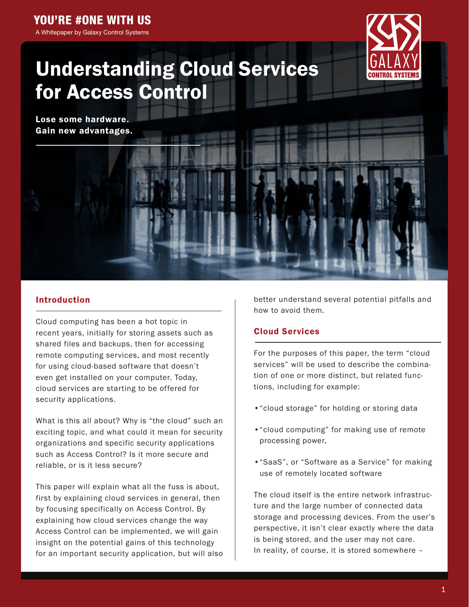# YOU'RE #ONE WITH US

A Whitepaper by Galaxy Control Systems



# Understanding Cloud Services for Access Control

Lose some hardware. Gain new advantages.

# Introduction

Cloud computing has been a hot topic in recent years, initially for storing assets such as shared files and backups, then for accessing remote computing services, and most recently for using cloud-based software that doesn't even get installed on your computer. Today, cloud services are starting to be offered for security applications.

What is this all about? Why is "the cloud" such an exciting topic, and what could it mean for security organizations and specific security applications such as Access Control? Is it more secure and reliable, or is it less secure?

This paper will explain what all the fuss is about, first by explaining cloud services in general, then by focusing specifically on Access Control. By explaining how cloud services change the way Access Control can be implemented, we will gain insight on the potential gains of this technology for an important security application, but will also

better understand several potential pitfalls and how to avoid them.

# Cloud Services

For the purposes of this paper, the term "cloud services" will be used to describe the combination of one or more distinct, but related functions, including for example:

- •"cloud storage" for holding or storing data
- •"cloud computing" for making use of remote processing power,
- •"SaaS", or "Software as a Service" for making use of remotely located software

The cloud itself is the entire network infrastructure and the large number of connected data storage and processing devices. From the user's perspective, it isn't clear exactly where the data is being stored, and the user may not care. In reality, of course, it is stored somewhere –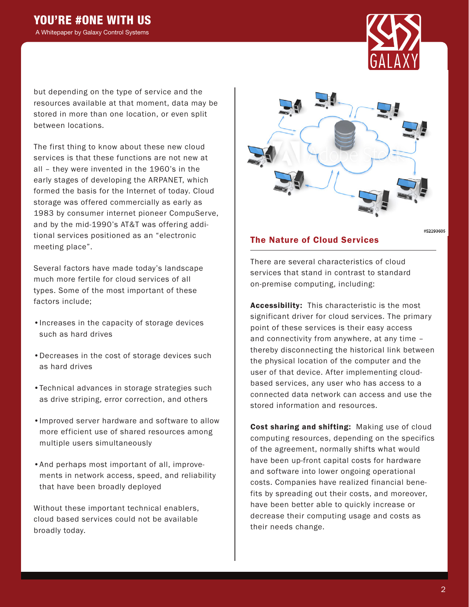

but depending on the type of service and the resources available at that moment, data may be stored in more than one location, or even split between locations.

The first thing to know about these new cloud services is that these functions are not new at all – they were invented in the 1960's in the early stages of developing the ARPANET, which formed the basis for the Internet of today. Cloud storage was offered commercially as early as 1983 by consumer internet pioneer CompuServe, and by the mid-1990's AT&T was offering additional services positioned as an "electronic meeting place".

Several factors have made today's landscape much more fertile for cloud services of all types. Some of the most important of these factors include;

- •Increases in the capacity of storage devices such as hard drives
- •Decreases in the cost of storage devices such as hard drives
- •Technical advances in storage strategies such as drive striping, error correction, and others
- •Improved server hardware and software to allow more efficient use of shared resources among multiple users simultaneously
- •And perhaps most important of all, improvements in network access, speed, and reliability that have been broadly deployed

Without these important technical enablers, cloud based services could not be available broadly today.



#52293605

## The Nature of Cloud Services

There are several characteristics of cloud services that stand in contrast to standard on-premise computing, including:

Accessibility: This characteristic is the most significant driver for cloud services. The primary point of these services is their easy access and connectivity from anywhere, at any time – thereby disconnecting the historical link between the physical location of the computer and the user of that device. After implementing cloudbased services, any user who has access to a connected data network can access and use the stored information and resources.

Cost sharing and shifting: Making use of cloud computing resources, depending on the specifics of the agreement, normally shifts what would have been up-front capital costs for hardware and software into lower ongoing operational costs. Companies have realized financial benefits by spreading out their costs, and moreover, have been better able to quickly increase or decrease their computing usage and costs as their needs change.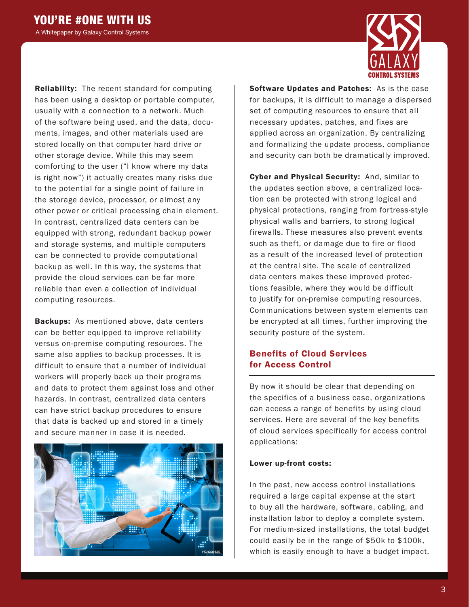

Reliability: The recent standard for computing has been using a desktop or portable computer, usually with a connection to a network. Much of the software being used, and the data, documents, images, and other materials used are stored locally on that computer hard drive or other storage device. While this may seem comforting to the user ("I know where my data is right now") it actually creates many risks due to the potential for a single point of failure in the storage device, processor, or almost any other power or critical processing chain element. In contrast, centralized data centers can be equipped with strong, redundant backup power and storage systems, and multiple computers can be connected to provide computational backup as well. In this way, the systems that provide the cloud services can be far more reliable than even a collection of individual computing resources.

**Backups:** As mentioned above, data centers can be better equipped to improve reliability versus on-premise computing resources. The same also applies to backup processes. It is difficult to ensure that a number of individual workers will properly back up their programs and data to protect them against loss and other hazards. In contrast, centralized data centers can have strict backup procedures to ensure that data is backed up and stored in a timely and secure manner in case it is needed.



Software Updates and Patches: As is the case for backups, it is difficult to manage a dispersed set of computing resources to ensure that all necessary updates, patches, and fixes are applied across an organization. By centralizing and formalizing the update process, compliance and security can both be dramatically improved.

Cyber and Physical Security: And, similar to the updates section above, a centralized location can be protected with strong logical and physical protections, ranging from fortress-style physical walls and barriers, to strong logical firewalls. These measures also prevent events such as theft, or damage due to fire or flood as a result of the increased level of protection at the central site. The scale of centralized data centers makes these improved protections feasible, where they would be difficult to justify for on-premise computing resources. Communications between system elements can be encrypted at all times, further improving the security posture of the system.

# Benefits of Cloud Services for Access Control

By now it should be clear that depending on the specifics of a business case, organizations can access a range of benefits by using cloud services. Here are several of the key benefits of cloud services specifically for access control applications:

#### Lower up-front costs:

In the past, new access control installations required a large capital expense at the start to buy all the hardware, software, cabling, and installation labor to deploy a complete system. For medium-sized installations, the total budget could easily be in the range of \$50k to \$100k, which is easily enough to have a budget impact.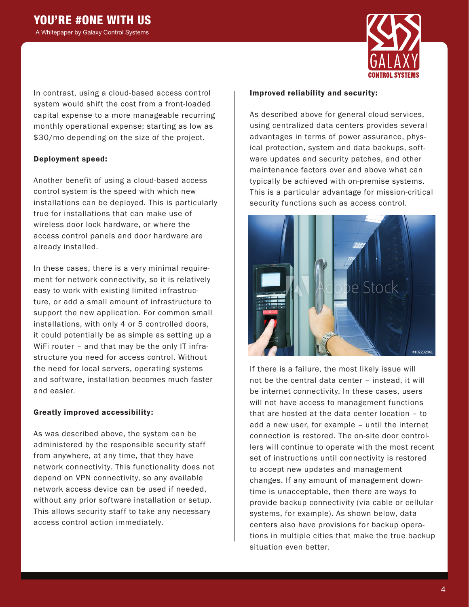

In contrast, using a cloud-based access control system would shift the cost from a front-loaded capital expense to a more manageable recurring monthly operational expense; starting as low as \$30/mo depending on the size of the project.

#### Deployment speed:

Another benefit of using a cloud-based access control system is the speed with which new installations can be deployed. This is particularly true for installations that can make use of wireless door lock hardware, or where the access control panels and door hardware are already installed.

In these cases, there is a very minimal requirement for network connectivity, so it is relatively easy to work with existing limited infrastructure, or add a small amount of infrastructure to support the new application. For common small installations, with only 4 or 5 controlled doors, it could potentially be as simple as setting up a WiFi router – and that may be the only IT infrastructure you need for access control. Without the need for local servers, operating systems and software, installation becomes much faster and easier.

#### Greatly improved accessibility:

As was described above, the system can be administered by the responsible security staff from anywhere, at any time, that they have network connectivity. This functionality does not depend on VPN connectivity, so any available network access device can be used if needed, without any prior software installation or setup. This allows security staff to take any necessary access control action immediately.

#### Improved reliability and security:

As described above for general cloud services, using centralized data centers provides several advantages in terms of power assurance, physical protection, system and data backups, software updates and security patches, and other maintenance factors over and above what can typically be achieved with on-premise systems. This is a particular advantage for mission-critical security functions such as access control.



If there is a failure, the most likely issue will not be the central data center – instead, it will be internet connectivity. In these cases, users will not have access to management functions that are hosted at the data center location – to add a new user, for example – until the internet connection is restored. The on-site door controllers will continue to operate with the most recent set of instructions until connectivity is restored to accept new updates and management changes. If any amount of management downtime is unacceptable, then there are ways to provide backup connectivity (via cable or cellular systems, for example). As shown below, data centers also have provisions for backup operations in multiple cities that make the true backup situation even better.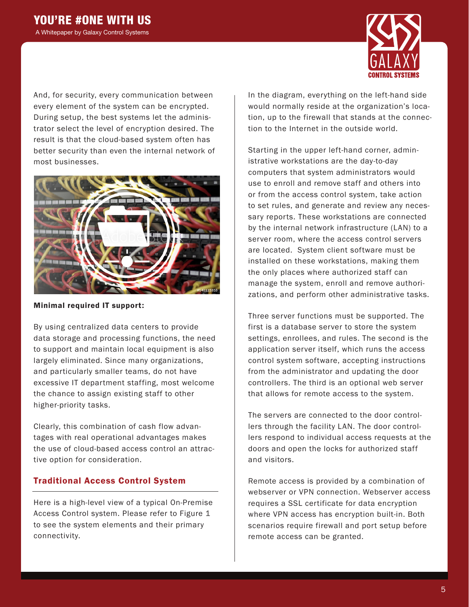

And, for security, every communication between every element of the system can be encrypted. During setup, the best systems let the administrator select the level of encryption desired. The result is that the cloud-based system often has better security than even the internal network of most businesses.



#### Minimal required IT support:

By using centralized data centers to provide data storage and processing functions, the need to support and maintain local equipment is also largely eliminated. Since many organizations, and particularly smaller teams, do not have excessive IT department staffing, most welcome the chance to assign existing staff to other higher-priority tasks.

Clearly, this combination of cash flow advantages with real operational advantages makes the use of cloud-based access control an attractive option for consideration.

# Traditional Access Control System

Here is a high-level view of a typical On-Premise Access Control system. Please refer to Figure 1 to see the system elements and their primary connectivity.

In the diagram, everything on the left-hand side would normally reside at the organization's location, up to the firewall that stands at the connection to the Internet in the outside world.

Starting in the upper left-hand corner, administrative workstations are the day-to-day computers that system administrators would use to enroll and remove staff and others into or from the access control system, take action to set rules, and generate and review any necessary reports. These workstations are connected by the internal network infrastructure (LAN) to a server room, where the access control servers are located. System client software must be installed on these workstations, making them the only places where authorized staff can manage the system, enroll and remove authorizations, and perform other administrative tasks.

Three server functions must be supported. The first is a database server to store the system settings, enrollees, and rules. The second is the application server itself, which runs the access control system software, accepting instructions from the administrator and updating the door controllers. The third is an optional web server that allows for remote access to the system.

The servers are connected to the door controllers through the facility LAN. The door controllers respond to individual access requests at the doors and open the locks for authorized staff and visitors.

Remote access is provided by a combination of webserver or VPN connection. Webserver access requires a SSL certificate for data encryption where VPN access has encryption built-in. Both scenarios require firewall and port setup before remote access can be granted.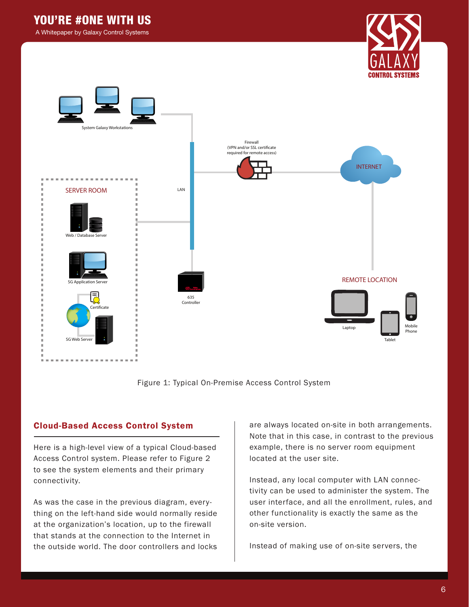# YOU'RE #ONE WITH US

A Whitepaper by Galaxy Control Systems





Figure 1: Typical On-Premise Access Control System

### Cloud-Based Access Control System

Here is a high-level view of a typical Cloud-based Access Control system. Please refer to Figure 2 to see the system elements and their primary connectivity.

As was the case in the previous diagram, everything on the left-hand side would normally reside at the organization's location, up to the firewall that stands at the connection to the Internet in the outside world. The door controllers and locks

are always located on-site in both arrangements. Note that in this case, in contrast to the previous example, there is no server room equipment located at the user site.

Instead, any local computer with LAN connectivity can be used to administer the system. The user interface, and all the enrollment, rules, and other functionality is exactly the same as the on-site version.

Instead of making use of on-site servers, the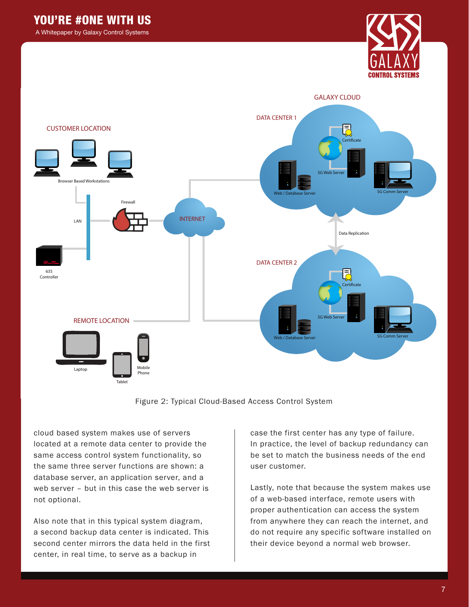A Whitepaper by Galaxy Control Systems





#### Figure 2: Typical Cloud-Based Access Control System

cloud based system makes use of servers located at a remote data center to provide the same access control system functionality, so the same three server functions are shown: a database server, an application server, and a web server – but in this case the web server is not optional.

Also note that in this typical system diagram, a second backup data center is indicated. This second center mirrors the data held in the first center, in real time, to serve as a backup in

case the first center has any type of failure. In practice, the level of backup redundancy can be set to match the business needs of the end user customer.

Lastly, note that because the system makes use of a web-based interface, remote users with proper authentication can access the system from anywhere they can reach the internet, and do not require any specific software installed on their device beyond a normal web browser.